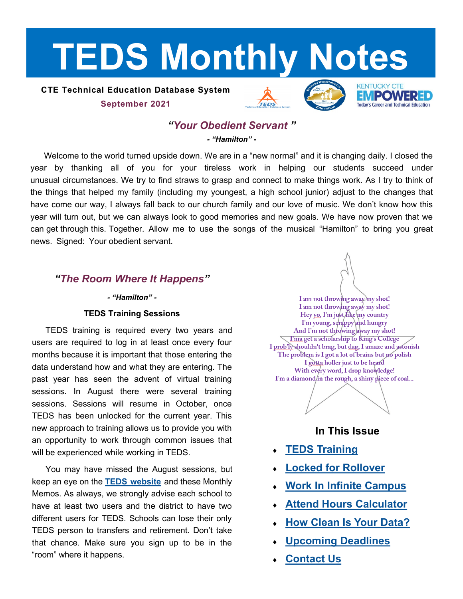# <span id="page-0-0"></span>**TEDS Monthly Notes**

#### **CTE Technical Education Database System September 2021**





# *"Your Obedient Servant "*

*- "Hamilton" -*

Welcome to the world turned upside down. We are in a "new normal" and it is changing daily. I closed the year by thanking all of you for your tireless work in helping our students succeed under unusual circumstances. We try to find straws to grasp and connect to make things work. As I try to think of the things that helped my family (including my youngest, a high school junior) adjust to the changes that have come our way, I always fall back to our church family and our love of music. We don't know how this year will turn out, but we can always look to good memories and new goals. We have now proven that we can get through this. Together. Allow me to use the songs of the musical "Hamilton" to bring you great news. Signed: Your obedient servant.

# *"The Room Where It Happens"*

#### *- "Hamilton" -*

#### **TEDS Training Sessions**

TEDS training is required every two years and users are required to log in at least once every four months because it is important that those entering the data understand how and what they are entering. The past year has seen the advent of virtual training sessions. In August there were several training sessions. Sessions will resume in October, once TEDS has been unlocked for the current year. This new approach to training allows us to provide you with an opportunity to work through common issues that will be experienced while working in TEDS.

You may have missed the August sessions, but keep an eye on the **[TEDS website](https://education.ky.gov/CTE/teds/Pages/default.aspx)** and these Monthly Memos. As always, we strongly advise each school to have at least two users and the district to have two different users for TEDS. Schools can lose their only TEDS person to transfers and retirement. Don't take that chance. Make sure you sign up to be in the "room" where it happens.



### **In This Issue**

- **[TEDS Training](#page-0-0)**
- **[Locked for Rollover](#page-1-0)**
- **[Work In Infinite Campus](#page-1-0)**
- **[Attend Hours Calculator](#page-1-0)**
- **[How Clean Is Your Data?](#page-2-0)**
- **[Upcoming Deadlines](#page-2-0)**
- **[Contact Us](#page-2-0)**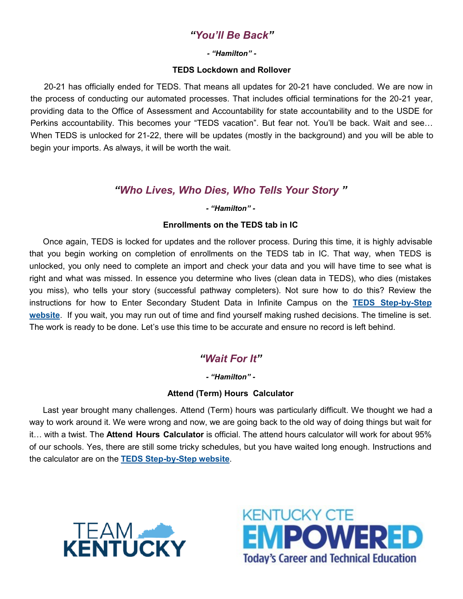# *"You'll Be Back"*

#### *- "Hamilton" -*

#### **TEDS Lockdown and Rollover**

<span id="page-1-0"></span>20-21 has officially ended for TEDS. That means all updates for 20-21 have concluded. We are now in the process of conducting our automated processes. That includes official terminations for the 20-21 year, providing data to the Office of Assessment and Accountability for state accountability and to the USDE for Perkins accountability. This becomes your "TEDS vacation". But fear not. You'll be back. Wait and see… When TEDS is unlocked for 21-22, there will be updates (mostly in the background) and you will be able to begin your imports. As always, it will be worth the wait.

# *"Who Lives, Who Dies, Who Tells Your Story "*

#### *- "Hamilton" -*

#### **Enrollments on the TEDS tab in IC**

Once again, TEDS is locked for updates and the rollover process. During this time, it is highly advisable that you begin working on completion of enrollments on the TEDS tab in IC. That way, when TEDS is unlocked, you only need to complete an import and check your data and you will have time to see what is right and what was missed. In essence you determine who lives (clean data in TEDS), who dies (mistakes you miss), who tells your story (successful pathway completers). Not sure how to do this? Review the instructions for how to Enter Secondary Student Data in Infinite Campus on the **[TEDS Step](https://education.ky.gov/CTE/teds/Pages/TEDSStepbyStep.aspx)-by-Step [website](https://education.ky.gov/CTE/teds/Pages/TEDSStepbyStep.aspx)**. If you wait, you may run out of time and find yourself making rushed decisions. The timeline is set. The work is ready to be done. Let's use this time to be accurate and ensure no record is left behind.

# *"Wait For It"*

*- "Hamilton" -*

#### **Attend (Term) Hours Calculator**

Last year brought many challenges. Attend (Term) hours was particularly difficult. We thought we had a way to work around it. We were wrong and now, we are going back to the old way of doing things but wait for it… with a twist. The **Attend Hours Calculator** is official. The attend hours calculator will work for about 95% of our schools. Yes, there are still some tricky schedules, but you have waited long enough. Instructions and the calculator are on the **TEDS Step-by-[Step website](https://education.ky.gov/CTE/teds/Pages/TEDSStepbyStep.aspx)**.



**KENTUCKY CTE POWEDED Today's Career and Technical Education**